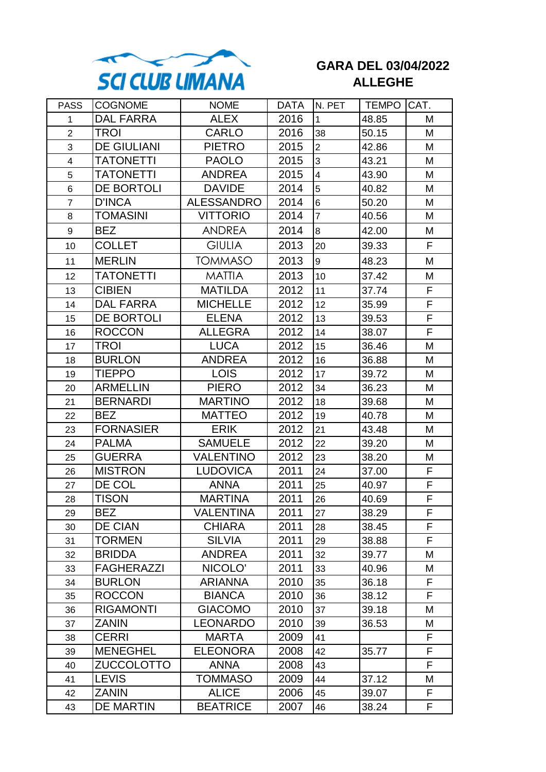

## **GARA DEL 03/04/2022 ALLEGHE**

| <b>PASS</b>    | <b>COGNOME</b>     | <b>NOME</b>       | <b>DATA</b> | IN. PET                 | <b>TEMPO CAT.</b> |   |
|----------------|--------------------|-------------------|-------------|-------------------------|-------------------|---|
| 1              | <b>DAL FARRA</b>   | <b>ALEX</b>       | 2016        | $\mathbf{1}$            | 48.85             | M |
| $\overline{2}$ | <b>TROI</b>        | <b>CARLO</b>      | 2016        | 38                      | 50.15             | M |
| 3              | <b>DE GIULIANI</b> | <b>PIETRO</b>     | 2015        | $\overline{2}$          | 42.86             | M |
| $\overline{4}$ | <b>TATONETTI</b>   | <b>PAOLO</b>      | 2015        | 3                       | 43.21             | M |
| 5              | <b>TATONETTI</b>   | <b>ANDREA</b>     | 2015        | $\overline{\mathbf{4}}$ | 43.90             | M |
| 6              | DE BORTOLI         | <b>DAVIDE</b>     | 2014        | 5                       | 40.82             | M |
| $\overline{7}$ | <b>D'INCA</b>      | <b>ALESSANDRO</b> | 2014        | 6                       | 50.20             | M |
| 8              | <b>TOMASINI</b>    | <b>VITTORIO</b>   | 2014        | $\overline{7}$          | 40.56             | M |
| 9              | <b>BEZ</b>         | <b>ANDREA</b>     | 2014        | 8                       | 42.00             | M |
| 10             | <b>COLLET</b>      | <b>GIULIA</b>     | 2013        | 20                      | 39.33             | F |
| 11             | <b>MERLIN</b>      | <b>TOMMASO</b>    | 2013        | 9                       | 48.23             | M |
| 12             | TATONETTI          | <b>MATTIA</b>     | 2013        | 10                      | 37.42             | M |
| 13             | <b>CIBIEN</b>      | <b>MATILDA</b>    | 2012        | 11                      | 37.74             | F |
| 14             | DAL FARRA          | <b>MICHELLE</b>   | 2012        | 12                      | 35.99             | F |
| 15             | DE BORTOLI         | <b>ELENA</b>      | 2012        | 13                      | 39.53             | F |
| 16             | <b>ROCCON</b>      | <b>ALLEGRA</b>    | 2012        | 14                      | 38.07             | F |
| 17             | TROI               | <b>LUCA</b>       | 2012        | 15                      | 36.46             | M |
| 18             | <b>BURLON</b>      | <b>ANDREA</b>     | 2012        | 16                      | 36.88             | M |
| 19             | <b>TIEPPO</b>      | <b>LOIS</b>       | 2012        | 17                      | 39.72             | M |
| 20             | <b>ARMELLIN</b>    | <b>PIERO</b>      | 2012        | 34                      | 36.23             | M |
| 21             | <b>BERNARDI</b>    | <b>MARTINO</b>    | 2012        | 18                      | 39.68             | M |
| 22             | <b>BEZ</b>         | <b>MATTEO</b>     | 2012        | 19                      | 40.78             | M |
| 23             | <b>FORNASIER</b>   | <b>ERIK</b>       | 2012        | 21                      | 43.48             | M |
| 24             | <b>PALMA</b>       | <b>SAMUELE</b>    | 2012        | 22                      | 39.20             | M |
| 25             | <b>GUERRA</b>      | <b>VALENTINO</b>  | 2012        | 23                      | 38.20             | M |
| 26             | <b>MISTRON</b>     | <b>LUDOVICA</b>   | 2011        | 24                      | 37.00             | F |
| 27             | DE COL             | <b>ANNA</b>       | 2011        | 25                      | 40.97             | F |
| 28             | <b>TISON</b>       | <b>MARTINA</b>    | 2011        | 26                      | 40.69             | F |
| 29             | BEZ                | VALENTINA         | 2011        | 27                      | 38.29             | F |
| 30             | <b>DE CIAN</b>     | <b>CHIARA</b>     | 2011        | 28                      | 38.45             | F |
| 31             | <b>TORMEN</b>      | <b>SILVIA</b>     | 2011        | 29                      | 38.88             | F |
| 32             | <b>BRIDDA</b>      | <b>ANDREA</b>     | 2011        | 32                      | 39.77             | M |
| 33             | <b>FAGHERAZZI</b>  | NICOLO'           | 2011        | 33                      | 40.96             | M |
| 34             | <b>BURLON</b>      | <b>ARIANNA</b>    | 2010        | 35                      | 36.18             | F |
| 35             | <b>ROCCON</b>      | <b>BIANCA</b>     | 2010        | 36                      | 38.12             | F |
| 36             | <b>RIGAMONTI</b>   | <b>GIACOMO</b>    | 2010        | 37                      | 39.18             | M |
| 37             | <b>ZANIN</b>       | <b>LEONARDO</b>   | 2010        | 39                      | 36.53             | M |
| 38             | <b>CERRI</b>       | <b>MARTA</b>      | 2009        | 41                      |                   | F |
| 39             | <b>MENEGHEL</b>    | <b>ELEONORA</b>   | 2008        | 42                      | 35.77             | F |
| 40             | ZUCCOLOTTO         | <b>ANNA</b>       | 2008        | 43                      |                   | F |
| 41             | <b>LEVIS</b>       | <b>TOMMASO</b>    | 2009        | 44                      | 37.12             | M |
| 42             | <b>ZANIN</b>       | <b>ALICE</b>      | 2006        | 45                      | 39.07             | F |
| 43             | <b>DE MARTIN</b>   | <b>BEATRICE</b>   | 2007        | 46                      | 38.24             | F |